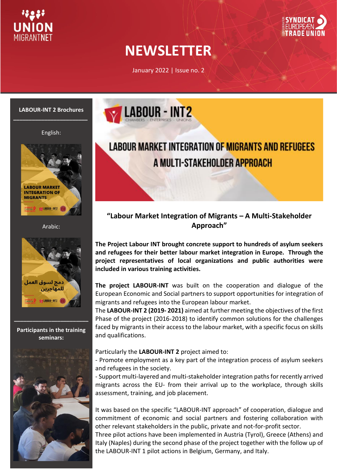



# **NEWSLETTER**

January 2022 | Issue no. 2



#### English:



Arabic:



**Participants in the training seminars:**

**\_\_\_\_\_\_\_\_\_\_\_\_\_\_\_\_\_\_\_\_\_\_\_\_**





### **"Labour Market Integration of Migrants – A Multi-Stakeholder Approach"**

**The Project Labour INT brought concrete support to hundreds of asylum seekers and refugees for their better labour market integration in Europe. Through the project representatives of local organizations and public authorities were included in various training activities.**

**The project LABOUR-INT** was built on the cooperation and dialogue of the European Economic and Social partners to support opportunities for integration of migrants and refugees into the European labour market.

The **LABOUR-INT 2 (2019- 2021)** aimed at further meeting the objectives of the first Phase of the project (2016-2018) to identify common solutions for the challenges faced by migrants in their access to the labour market, with a specific focus on skills and qualifications.

#### Particularly the **LABOUR-INT 2** project aimed to:

- Promote employment as a key part of the integration process of asylum seekers and refugees in the society.

- Support multi-layered and multi-stakeholder integration paths for recently arrived migrants across the EU- from their arrival up to the workplace, through skills assessment, training, and job placement.

It was based on the specific "LABOUR-INT approach" of cooperation, dialogue and commitment of economic and social partners and fostering collaboration with other relevant stakeholders in the public, private and not-for-profit sector. Three pilot actions have been implemented in Austria (Tyrol), Greece (Athens) and Italy (Naples) during the second phase of the project together with the follow up of the LABOUR-INT 1 pilot actions in Belgium, Germany, and Italy.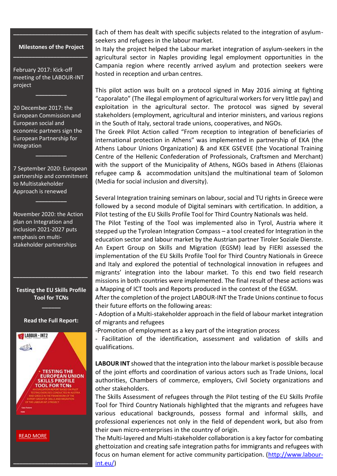#### **Milestones of the Project \_\_\_\_\_\_\_\_\_\_\_\_\_\_\_\_\_\_\_\_\_\_\_\_**

**\_\_\_\_\_\_\_\_\_\_\_\_\_\_\_\_\_\_\_\_\_\_\_\_**

February 2017: Kick-off meeting of the LABOUR-INT project

**\_\_\_\_\_\_\_\_\_\_**

20 December 2017: the European Commission and European social and economic partners sign the European Partnership for Integration

7 September 2020: European partnership and commitment to Multistakeholder Approach is renewed

**\_\_\_\_\_\_\_\_\_\_**

**\_\_\_\_\_\_\_\_\_\_**

November 2020: the Action plan on Integration and Inclusion 2021-2027 puts emphasis on multistakeholder partnerships

**Testing the EU Skills Profile Tool for TCNs** 

**\_\_\_\_\_\_**

**\_\_\_\_\_\_\_\_\_\_\_\_\_\_\_\_\_\_\_\_\_\_\_\_**

#### **Read the Full Report:**



**\_\_\_\_\_\_\_\_\_\_\_\_\_\_\_\_\_\_\_\_\_\_\_\_**

Each of them has dealt with specific subjects related to the integration of asylumseekers and refugees in the labour market.

In Italy the project helped the Labour market integration of asylum-seekers in the agricultural sector in Naples providing legal employment opportunities in the Campania region where recently arrived asylum and protection seekers were hosted in reception and urban centres.

This pilot action was built on a protocol signed in May 2016 aiming at fighting "caporalato" (The illegal employment of agricultural workers for very little pay) and exploitation in the agricultural sector. The protocol was signed by several stakeholders (employment, agricultural and interior ministers, and various regions in the South of Italy, sectoral trade unions, cooperatives, and NGOs.

The Greek Pilot Action called "From reception to integration of beneficiaries of international protection in Athens" was implemented in partnership of EKA (the Athens Labour Unions Organization) & and KEK GSEVEE (the Vocational Training Centre of the Hellenic Confederation of Professionals, Craftsmen and Merchant) with the support of the Municipality of Athens, NGOs based in Athens (Elaionas refugee camp & accommodation units)and the multinational team of Solomon (Media for social inclusion and diversity).

Several Integration training seminars on labour, social and TU rights in Greece were followed by a second module of Digital seminars with certification. In addition, a Pilot testing of the EU Skills Profile Tool for Third Country Nationals was held.

The Pilot Testing of the Tool was implemented also in Tyrol, Austria where it stepped up the Tyrolean Integration Compass – a tool created for Integration in the education sector and labour market by the Austrian partner Tiroler Soziale Dienste. An Expert Group on Skills and Migration (EGSM) lead by FIERI assessed the implementation of the EU Skills Profile Tool for Third Country Nationals in Greece and Italy and explored the potential of technological innovation in refugees and migrants' integration into the labour market. To this end two field research missions in both countries were implemented. The final result of these actions was a Mapping of ICT tools and Reports produced in the context of the EGSM.

After the completion of the project LABOUR-INT the Trade Unions continue to focus their future efforts on the following areas:

- Adoption of a Multi-stakeholder approach in the field of labour market integration of migrants and refugees

-Promotion of employment as a key part of the integration process

- Facilitation of the identification, assessment and validation of skills and qualifications.

**LABOUR INT** showed that the integration into the labour market is possible because of the joint efforts and coordination of various actors such as Trade Unions, local authorities, Chambers of commerce, employers, Civil Society organizations and other stakeholders.

The Skills Assessment of refugees through the Pilot testing of the EU Skills Profile Tool for Third Country Nationals highlighted that the migrants and refugees have various educational backgrounds, possess formal and informal skills, and professional experiences not only in the field of dependent work, but also from their own micro-enterprises in the country of origin.

The Multi-layered and Multi-stakeholder collaboration is a key factor for combating ghettoization and creating safe integration paths for immigrants and refugees with focus on human element for active community participation. [\(http://www.labour](http://www.labour-int.eu/)[int.eu/\)](http://www.labour-int.eu/)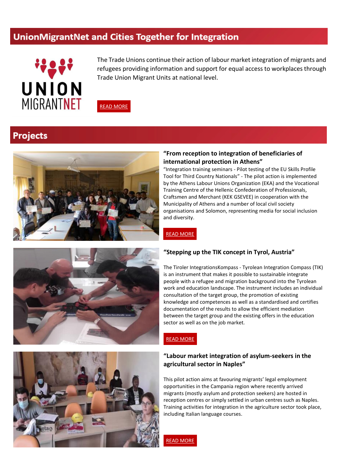### UnionMigrantNet and Cities Together for Integration



The Trade Unions continue their action of labour market integration of migrants and refugees providing information and support for equal access to workplaces through Trade Union Migrant Units at national level.



# **Projects**



#### **"From reception to integration of beneficiaries of international protection in Athens"**

"Integration training seminars - Pilot testing of the EU Skills Profile Tool for Third Country Nationals" - The pilot action is implemented by the Athens Labour Unions Organization (EKA) and the Vocational Training Centre of the Hellenic Confederation of Professionals, Craftsmen and Merchant (KEK GSEVEE) in cooperation with the Municipality of Athens and a number of local civil society organisations and Solomon, representing media for social inclusion and diversity.



#### **"Stepping up the TIK concept in Tyrol, Austria"**

The Tiroler IntegrationsKompass - Tyrolean Integration Compass (TIK) is an instrument that makes it possible to sustainable integrate people with a refugee and migration background into the Tyrolean work and education landscape. The instrument includes an individual consultation of the target group, the promotion of existing knowledge and competences as well as a standardised and certifies documentation of the results to allow the efficient mediation between the target group and the existing offers in the education sector as well as on the job market.



READ [MORE](http://www.labour-int.eu/athens-greece/)

### **"Labour market integration of asylum-seekers in the agricultural sector in Naples"**

This pilot action aims at favouring migrants' legal employment opportunities in the Campania region where recently arrived migrants (mostly asylum and protection seekers) are hosted in reception centres or simply settled in urban centres such as Naples. Training activities for integration in the agriculture sector took place, including Italian language courses.



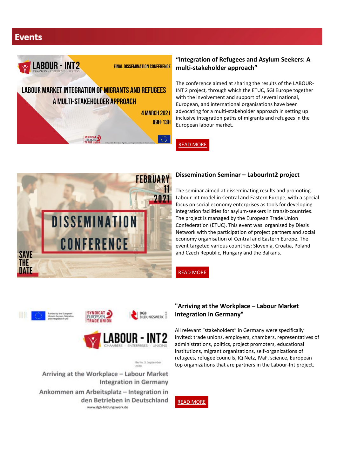# **Events**



**FINAL DISSEMINATION CONFERENCE** 

# **LABOUR MARKET INTEGRATION OF MIGRANTS AND REFUGEES** A MULTI-STAKEHOLDER APPROACH **4 MARCH 2021**

**09H-13H** 

### **"Integration of Refugees and Asylum Seekers: A multi-stakeholder approach"**

The conference aimed at sharing the results of the LABOUR-INT 2 project, through which the ETUC, SGI Europe together with the involvement and support of several national, European, and international organisations have been advocating for a multi-stakeholder approach in setting up inclusive integration paths of migrants and refugees in the European labour market.

READ [MORE](http://www.labour-int.eu/)



### **Dissemination Seminar – LabourInt2 project**

The seminar aimed at disseminating results and promoting Labour-int model in Central and Eastern Europe, with a special focus on social economy enterprises as tools for developing integration facilities for asylum-seekers in transit-countries. The project is managed by the European Trade Union Confederation (ETUC). This event was organised by Diesis Network with the participation of project partners and social economy organisation of Central and Eastern Europe. The event targeted various countries: Slovenia, Croatia, Poland and Czech Republic, Hungary and the Balkans.

READ [MORE](http://www.labour-int.eu/dissemination/)







Berlin, 3. September

Arriving at the Workplace - Labour Market **Integration in Germany** Ankommen am Arbeitsplatz - Integration in den Betrieben in Deutschland www.dgb-bildungswerk.de

### **"Arriving at the Workplace – Labour Market Integration in Germany"**

All relevant "stakeholders" in Germany were specifically invited: trade unions, employers, chambers, representatives of administrations, politics, project promoters, educational institutions, migrant organizations, self-organizations of refugees, refugee councils, IQ Netz, IVaF, science, European top organizations that are partners in the Labour-Int project.

READ [MORE](https://www.dgb-bildungswerk.de/migration/arriving-workplace-labour-market-integration-germany)